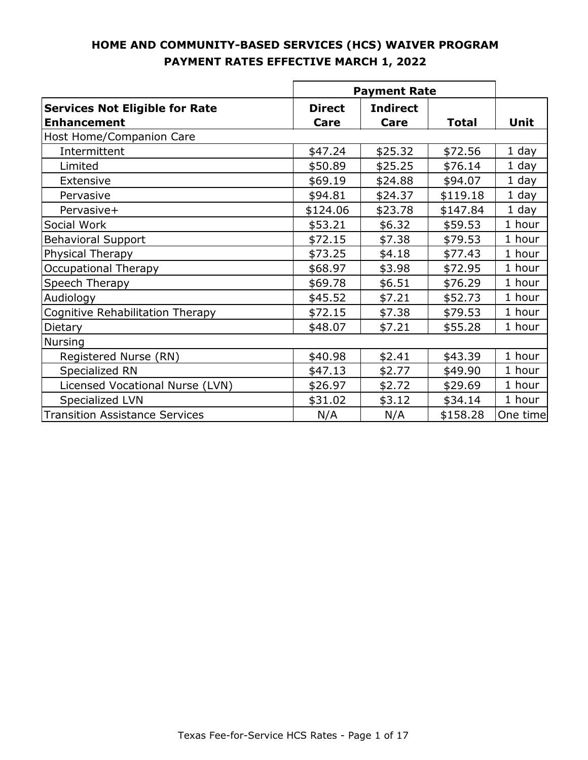|                                                             | <b>Payment Rate</b>   |                         |              |          |
|-------------------------------------------------------------|-----------------------|-------------------------|--------------|----------|
| <b>Services Not Eligible for Rate</b><br><b>Enhancement</b> | <b>Direct</b><br>Care | <b>Indirect</b><br>Care | <b>Total</b> | Unit     |
| Host Home/Companion Care                                    |                       |                         |              |          |
| Intermittent                                                | \$47.24               | \$25.32                 | \$72.56      | $1$ day  |
| Limited                                                     | \$50.89               | \$25.25                 | \$76.14      | 1 day    |
| Extensive                                                   | \$69.19               | \$24.88                 | \$94.07      | $1$ day  |
| Pervasive                                                   | \$94.81               | \$24.37                 | \$119.18     | 1 day    |
| Pervasive+                                                  | \$124.06              | \$23.78                 | \$147.84     | 1 day    |
| Social Work                                                 | \$53.21               | \$6.32                  | \$59.53      | 1 hour   |
| <b>Behavioral Support</b>                                   | \$72.15               | \$7.38                  | \$79.53      | 1 hour   |
| Physical Therapy                                            | \$73.25               | \$4.18                  | \$77.43      | 1 hour   |
| <b>Occupational Therapy</b>                                 | \$68.97               | \$3.98                  | \$72.95      | 1 hour   |
| Speech Therapy                                              | \$69.78               | \$6.51                  | \$76.29      | 1 hour   |
| Audiology                                                   | \$45.52               | \$7.21                  | \$52.73      | 1 hour   |
| Cognitive Rehabilitation Therapy                            | \$72.15               | \$7.38                  | \$79.53      | 1 hour   |
| Dietary                                                     | \$48.07               | \$7.21                  | \$55.28      | 1 hour   |
| <b>Nursing</b>                                              |                       |                         |              |          |
| Registered Nurse (RN)                                       | \$40.98               | \$2.41                  | \$43.39      | 1 hour   |
| Specialized RN                                              | \$47.13               | \$2.77                  | \$49.90      | 1 hour   |
| Licensed Vocational Nurse (LVN)                             | \$26.97               | \$2.72                  | \$29.69      | 1 hour   |
| Specialized LVN                                             | \$31.02               | \$3.12                  | \$34.14      | 1 hour   |
| <b>Transition Assistance Services</b>                       | N/A                   | N/A                     | \$158.28     | One time |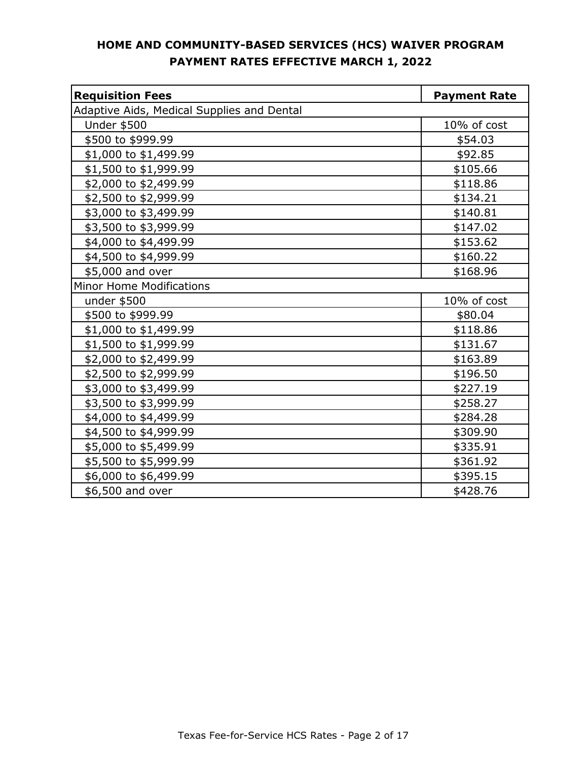| <b>Requisition Fees</b>                    | <b>Payment Rate</b> |
|--------------------------------------------|---------------------|
| Adaptive Aids, Medical Supplies and Dental |                     |
| <b>Under \$500</b>                         | 10% of cost         |
| \$500 to \$999.99                          | \$54.03             |
| \$1,000 to \$1,499.99                      | \$92.85             |
| \$1,500 to \$1,999.99                      | \$105.66            |
| \$2,000 to \$2,499.99                      | \$118.86            |
| \$2,500 to \$2,999.99                      | \$134.21            |
| \$3,000 to \$3,499.99                      | \$140.81            |
| \$3,500 to \$3,999.99                      | \$147.02            |
| \$4,000 to \$4,499.99                      | \$153.62            |
| \$4,500 to \$4,999.99                      | \$160.22            |
| \$5,000 and over                           | \$168.96            |
| <b>Minor Home Modifications</b>            |                     |
| under $$500$                               | 10% of cost         |
| \$500 to \$999.99                          | \$80.04             |
| \$1,000 to \$1,499.99                      | \$118.86            |
| \$1,500 to \$1,999.99                      | \$131.67            |
| \$2,000 to \$2,499.99                      | \$163.89            |
| \$2,500 to \$2,999.99                      | \$196.50            |
| \$3,000 to \$3,499.99                      | \$227.19            |
| \$3,500 to \$3,999.99                      | \$258.27            |
| \$4,000 to \$4,499.99                      | \$284.28            |
| \$4,500 to \$4,999.99                      | \$309.90            |
| \$5,000 to \$5,499.99                      | \$335.91            |
| \$5,500 to \$5,999.99                      | \$361.92            |
| \$6,000 to \$6,499.99                      | \$395.15            |
| \$6,500 and over                           | \$428.76            |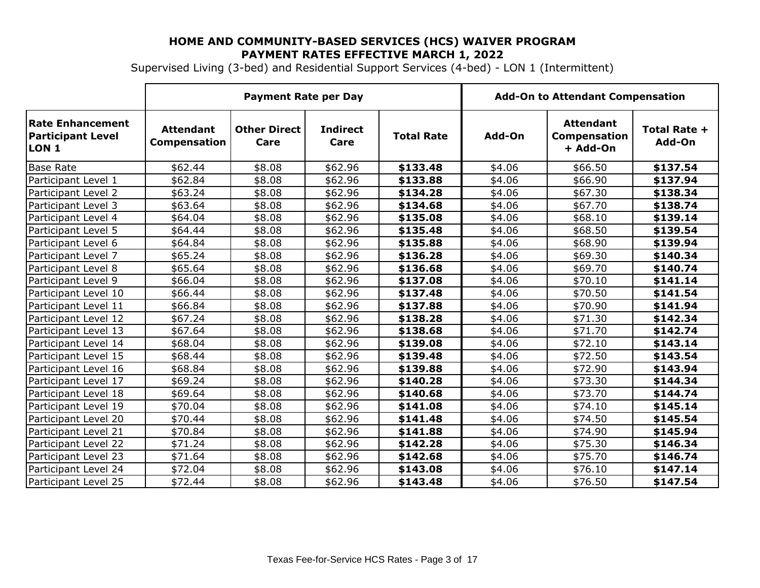Supervised Living (3-bed) and Residential Support Services (4-bed) - LON 1 (Intermittent)

|                                                       | <b>Payment Rate per Day</b>             |                             |                         |                   |        | <b>Add-On to Attendant Compensation</b>      |                        |
|-------------------------------------------------------|-----------------------------------------|-----------------------------|-------------------------|-------------------|--------|----------------------------------------------|------------------------|
| Rate Enhancement<br><b>Participant Level</b><br>LON 1 | <b>Attendant</b><br><b>Compensation</b> | <b>Other Direct</b><br>Care | <b>Indirect</b><br>Care | <b>Total Rate</b> | Add-On | <b>Attendant</b><br>Compensation<br>+ Add-On | Total Rate +<br>Add-On |
| <b>Base Rate</b>                                      | \$62.44                                 | \$8.08                      | \$62.96                 | \$133.48          | \$4.06 | \$66.50                                      | \$137.54               |
| Participant Level 1                                   | \$62.84                                 | \$8.08                      | \$62.96                 | \$133.88          | \$4.06 | \$66.90                                      | \$137.94               |
| Participant Level 2                                   | \$63.24                                 | \$8.08                      | \$62.96                 | \$134.28          | \$4.06 | \$67.30                                      | \$138.34               |
| Participant Level 3                                   | \$63.64                                 | \$8.08                      | \$62.96                 | \$134.68          | \$4.06 | \$67.70                                      | \$138.74               |
| Participant Level 4                                   | \$64.04                                 | \$8.08                      | \$62.96                 | \$135.08          | \$4.06 | \$68.10                                      | \$139.14               |
| Participant Level 5                                   | \$64.44                                 | \$8.08                      | \$62.96                 | \$135.48          | \$4.06 | \$68.50                                      | \$139.54               |
| Participant Level 6                                   | \$64.84                                 | \$8.08                      | \$62.96                 | \$135.88          | \$4.06 | \$68.90                                      | \$139.94               |
| Participant Level 7                                   | \$65.24                                 | \$8.08                      | \$62.96                 | \$136.28          | \$4.06 | \$69.30                                      | \$140.34               |
| Participant Level 8                                   | \$65.64                                 | \$8.08                      | \$62.96                 | \$136.68          | \$4.06 | \$69.70                                      | \$140.74               |
| Participant Level 9                                   | \$66.04                                 | \$8.08                      | \$62.96                 | \$137.08          | \$4.06 | \$70.10                                      | \$141.14               |
| Participant Level 10                                  | \$66.44                                 | \$8.08                      | \$62.96                 | \$137.48          | \$4.06 | \$70.50                                      | \$141.54               |
| Participant Level 11                                  | \$66.84                                 | \$8.08                      | \$62.96                 | \$137.88          | \$4.06 | \$70.90                                      | \$141.94               |
| Participant Level 12                                  | \$67.24                                 | \$8.08                      | \$62.96                 | \$138.28          | \$4.06 | \$71.30                                      | \$142.34               |
| Participant Level 13                                  | \$67.64                                 | \$8.08                      | \$62.96                 | \$138.68          | \$4.06 | \$71.70                                      | \$142.74               |
| Participant Level 14                                  | \$68.04                                 | \$8.08                      | \$62.96                 | \$139.08          | \$4.06 | \$72.10                                      | \$143.14               |
| Participant Level 15                                  | \$68.44                                 | \$8.08                      | \$62.96                 | \$139.48          | \$4.06 | \$72.50                                      | \$143.54               |
| Participant Level 16                                  | \$68.84                                 | \$8.08                      | \$62.96                 | \$139.88          | \$4.06 | \$72.90                                      | \$143.94               |
| Participant Level 17                                  | \$69.24                                 | \$8.08                      | \$62.96                 | \$140.28          | \$4.06 | \$73.30                                      | \$144.34               |
| Participant Level 18                                  | \$69.64                                 | \$8.08                      | \$62.96                 | \$140.68          | \$4.06 | \$73.70                                      | \$144.74               |
| Participant Level 19                                  | \$70.04                                 | \$8.08                      | \$62.96                 | \$141.08          | \$4.06 | \$74.10                                      | \$145.14               |
| Participant Level 20                                  | \$70.44                                 | \$8.08                      | \$62.96                 | \$141.48          | \$4.06 | \$74.50                                      | \$145.54               |
| Participant Level 21                                  | \$70.84                                 | \$8.08                      | \$62.96                 | \$141.88          | \$4.06 | \$74.90                                      | \$145.94               |
| Participant Level 22                                  | \$71.24                                 | \$8.08                      | \$62.96                 | \$142.28          | \$4.06 | \$75.30                                      | \$146.34               |
| Participant Level 23                                  | \$71.64                                 | \$8.08                      | \$62.96                 | \$142.68          | \$4.06 | \$75.70                                      | \$146.74               |
| Participant Level 24                                  | \$72.04                                 | \$8.08                      | \$62.96                 | \$143.08          | \$4.06 | \$76.10                                      | \$147.14               |
| Participant Level 25                                  | \$72.44                                 | \$8.08                      | \$62.96                 | \$143.48          | \$4.06 | \$76.50                                      | \$147.54               |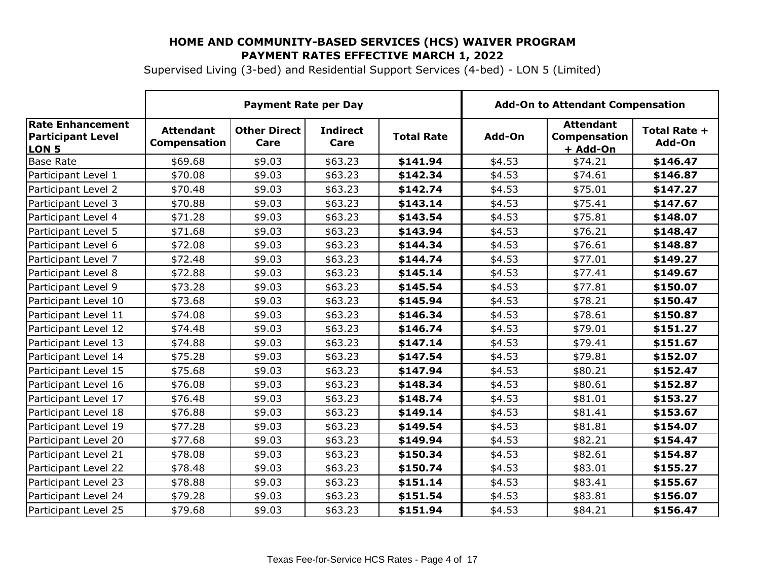Supervised Living (3-bed) and Residential Support Services (4-bed) - LON 5 (Limited)

|                                                                         | <b>Payment Rate per Day</b>      |                             |                         | <b>Add-On to Attendant Compensation</b> |        |                                                     |                        |
|-------------------------------------------------------------------------|----------------------------------|-----------------------------|-------------------------|-----------------------------------------|--------|-----------------------------------------------------|------------------------|
| <b>Rate Enhancement</b><br><b>Participant Level</b><br>LON <sub>5</sub> | <b>Attendant</b><br>Compensation | <b>Other Direct</b><br>Care | <b>Indirect</b><br>Care | <b>Total Rate</b>                       | Add-On | <b>Attendant</b><br><b>Compensation</b><br>+ Add-On | Total Rate +<br>Add-On |
| <b>Base Rate</b>                                                        | \$69.68                          | \$9.03                      | \$63.23                 | \$141.94                                | \$4.53 | \$74.21                                             | \$146.47               |
| Participant Level 1                                                     | \$70.08                          | \$9.03                      | \$63.23                 | \$142.34                                | \$4.53 | \$74.61                                             | \$146.87               |
| Participant Level 2                                                     | \$70.48                          | \$9.03                      | \$63.23                 | \$142.74                                | \$4.53 | \$75.01                                             | \$147.27               |
| Participant Level 3                                                     | \$70.88                          | \$9.03                      | \$63.23                 | \$143.14                                | \$4.53 | \$75.41                                             | \$147.67               |
| Participant Level 4                                                     | \$71.28                          | \$9.03                      | \$63.23                 | \$143.54                                | \$4.53 | \$75.81                                             | \$148.07               |
| Participant Level 5                                                     | \$71.68                          | \$9.03                      | \$63.23                 | \$143.94                                | \$4.53 | \$76.21                                             | \$148.47               |
| Participant Level 6                                                     | \$72.08                          | \$9.03                      | \$63.23                 | \$144.34                                | \$4.53 | \$76.61                                             | \$148.87               |
| Participant Level 7                                                     | \$72.48                          | \$9.03                      | \$63.23                 | \$144.74                                | \$4.53 | \$77.01                                             | \$149.27               |
| Participant Level 8                                                     | \$72.88                          | \$9.03                      | \$63.23                 | \$145.14                                | \$4.53 | \$77.41                                             | \$149.67               |
| Participant Level 9                                                     | \$73.28                          | \$9.03                      | \$63.23                 | \$145.54                                | \$4.53 | \$77.81                                             | \$150.07               |
| Participant Level 10                                                    | \$73.68                          | \$9.03                      | \$63.23                 | \$145.94                                | \$4.53 | \$78.21                                             | \$150.47               |
| Participant Level 11                                                    | \$74.08                          | \$9.03                      | \$63.23                 | \$146.34                                | \$4.53 | \$78.61                                             | \$150.87               |
| Participant Level 12                                                    | \$74.48                          | \$9.03                      | \$63.23                 | \$146.74                                | \$4.53 | \$79.01                                             | \$151.27               |
| Participant Level 13                                                    | \$74.88                          | \$9.03                      | \$63.23                 | \$147.14                                | \$4.53 | \$79.41                                             | \$151.67               |
| Participant Level 14                                                    | \$75.28                          | \$9.03                      | \$63.23                 | \$147.54                                | \$4.53 | \$79.81                                             | \$152.07               |
| Participant Level 15                                                    | \$75.68                          | \$9.03                      | \$63.23                 | \$147.94                                | \$4.53 | \$80.21                                             | \$152.47               |
| Participant Level 16                                                    | \$76.08                          | \$9.03                      | \$63.23                 | \$148.34                                | \$4.53 | \$80.61                                             | \$152.87               |
| Participant Level 17                                                    | \$76.48                          | \$9.03                      | \$63.23                 | \$148.74                                | \$4.53 | \$81.01                                             | \$153.27               |
| Participant Level 18                                                    | \$76.88                          | \$9.03                      | \$63.23                 | \$149.14                                | \$4.53 | \$81.41                                             | \$153.67               |
| Participant Level 19                                                    | \$77.28                          | \$9.03                      | \$63.23                 | \$149.54                                | \$4.53 | \$81.81                                             | \$154.07               |
| Participant Level 20                                                    | \$77.68                          | \$9.03                      | \$63.23                 | \$149.94                                | \$4.53 | \$82.21                                             | \$154.47               |
| Participant Level 21                                                    | \$78.08                          | \$9.03                      | \$63.23                 | \$150.34                                | \$4.53 | \$82.61                                             | \$154.87               |
| Participant Level 22                                                    | \$78.48                          | \$9.03                      | \$63.23                 | \$150.74                                | \$4.53 | \$83.01                                             | \$155.27               |
| Participant Level 23                                                    | \$78.88                          | \$9.03                      | \$63.23                 | \$151.14                                | \$4.53 | \$83.41                                             | \$155.67               |
| Participant Level 24                                                    | \$79.28                          | \$9.03                      | \$63.23                 | \$151.54                                | \$4.53 | \$83.81                                             | \$156.07               |
| Participant Level 25                                                    | \$79.68                          | \$9.03                      | \$63.23                 | \$151.94                                | \$4.53 | \$84.21                                             | \$156.47               |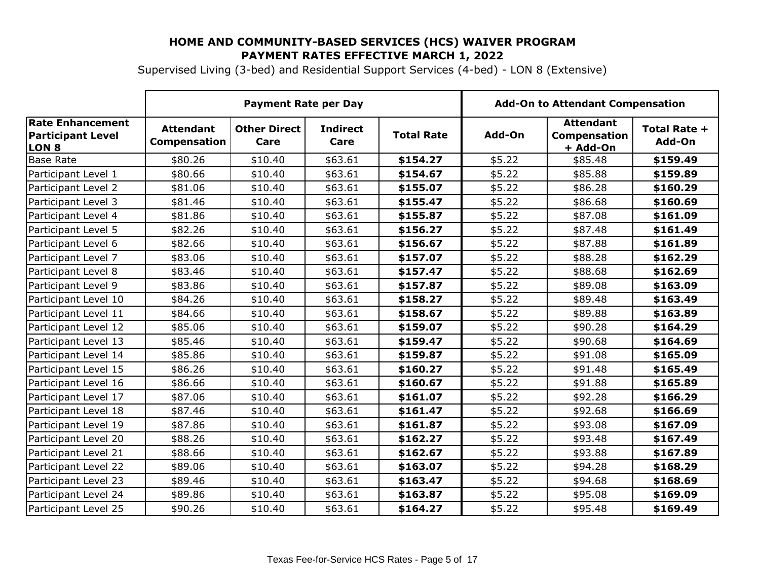Supervised Living (3-bed) and Residential Support Services (4-bed) - LON 8 (Extensive)

|                                                                     | <b>Payment Rate per Day</b>             |                             |                         |                   | <b>Add-On to Attendant Compensation</b> |                                              |                        |
|---------------------------------------------------------------------|-----------------------------------------|-----------------------------|-------------------------|-------------------|-----------------------------------------|----------------------------------------------|------------------------|
| <b>Rate Enhancement</b><br><b>Participant Level</b><br><b>LON 8</b> | <b>Attendant</b><br><b>Compensation</b> | <b>Other Direct</b><br>Care | <b>Indirect</b><br>Care | <b>Total Rate</b> | Add-On                                  | <b>Attendant</b><br>Compensation<br>+ Add-On | Total Rate +<br>Add-On |
| <b>Base Rate</b>                                                    | \$80.26                                 | \$10.40                     | \$63.61                 | \$154.27          | \$5.22                                  | \$85.48                                      | \$159.49               |
| Participant Level 1                                                 | \$80.66                                 | \$10.40                     | \$63.61                 | \$154.67          | \$5.22                                  | \$85.88                                      | \$159.89               |
| Participant Level 2                                                 | \$81.06                                 | \$10.40                     | \$63.61                 | \$155.07          | \$5.22                                  | \$86.28                                      | \$160.29               |
| Participant Level 3                                                 | \$81.46                                 | \$10.40                     | \$63.61                 | \$155.47          | \$5.22                                  | \$86.68                                      | \$160.69               |
| Participant Level 4                                                 | \$81.86                                 | \$10.40                     | \$63.61                 | \$155.87          | \$5.22                                  | \$87.08                                      | \$161.09               |
| Participant Level 5                                                 | \$82.26                                 | \$10.40                     | \$63.61                 | \$156.27          | \$5.22                                  | \$87.48                                      | \$161.49               |
| Participant Level 6                                                 | \$82.66                                 | \$10.40                     | \$63.61                 | \$156.67          | \$5.22                                  | \$87.88                                      | \$161.89               |
| Participant Level 7                                                 | \$83.06                                 | \$10.40                     | \$63.61                 | \$157.07          | \$5.22                                  | \$88.28                                      | \$162.29               |
| Participant Level 8                                                 | \$83.46                                 | \$10.40                     | \$63.61                 | \$157.47          | \$5.22                                  | \$88.68                                      | \$162.69               |
| Participant Level 9                                                 | \$83.86                                 | \$10.40                     | \$63.61                 | \$157.87          | \$5.22                                  | \$89.08                                      | \$163.09               |
| Participant Level 10                                                | \$84.26                                 | \$10.40                     | \$63.61                 | \$158.27          | \$5.22                                  | \$89.48                                      | \$163.49               |
| Participant Level 11                                                | \$84.66                                 | \$10.40                     | \$63.61                 | \$158.67          | \$5.22                                  | \$89.88                                      | \$163.89               |
| Participant Level 12                                                | \$85.06                                 | \$10.40                     | \$63.61                 | \$159.07          | \$5.22                                  | \$90.28                                      | \$164.29               |
| Participant Level 13                                                | \$85.46                                 | \$10.40                     | \$63.61                 | \$159.47          | \$5.22                                  | \$90.68                                      | \$164.69               |
| Participant Level 14                                                | \$85.86                                 | \$10.40                     | \$63.61                 | \$159.87          | \$5.22                                  | \$91.08                                      | \$165.09               |
| Participant Level 15                                                | \$86.26                                 | \$10.40                     | \$63.61                 | \$160.27          | \$5.22                                  | \$91.48                                      | \$165.49               |
| Participant Level 16                                                | \$86.66                                 | \$10.40                     | \$63.61                 | \$160.67          | \$5.22                                  | \$91.88                                      | \$165.89               |
| Participant Level 17                                                | \$87.06                                 | \$10.40                     | \$63.61                 | \$161.07          | \$5.22                                  | \$92.28                                      | \$166.29               |
| Participant Level 18                                                | \$87.46                                 | \$10.40                     | \$63.61                 | \$161.47          | \$5.22                                  | \$92.68                                      | \$166.69               |
| Participant Level 19                                                | \$87.86                                 | \$10.40                     | \$63.61                 | \$161.87          | \$5.22                                  | \$93.08                                      | \$167.09               |
| Participant Level 20                                                | \$88.26                                 | \$10.40                     | \$63.61                 | \$162.27          | \$5.22                                  | \$93.48                                      | \$167.49               |
| Participant Level 21                                                | \$88.66                                 | \$10.40                     | \$63.61                 | \$162.67          | \$5.22                                  | \$93.88                                      | \$167.89               |
| Participant Level 22                                                | \$89.06                                 | \$10.40                     | \$63.61                 | \$163.07          | \$5.22                                  | \$94.28                                      | \$168.29               |
| Participant Level 23                                                | \$89.46                                 | \$10.40                     | \$63.61                 | \$163.47          | \$5.22                                  | \$94.68                                      | \$168.69               |
| Participant Level 24                                                | \$89.86                                 | \$10.40                     | \$63.61                 | \$163.87          | \$5.22                                  | \$95.08                                      | \$169.09               |
| Participant Level 25                                                | \$90.26                                 | \$10.40                     | \$63.61                 | \$164.27          | \$5.22                                  | \$95.48                                      | \$169.49               |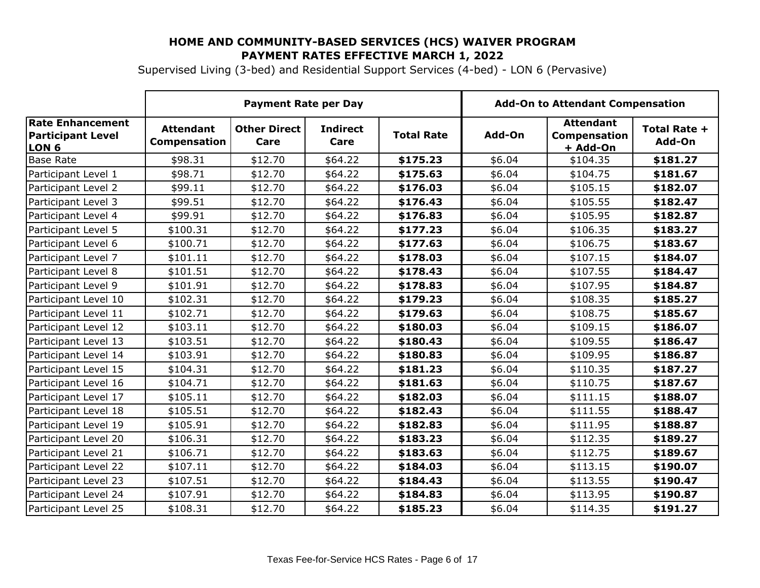Supervised Living (3-bed) and Residential Support Services (4-bed) - LON 6 (Pervasive)

|                                                                         | <b>Payment Rate per Day</b>             |                             |                         | <b>Add-On to Attendant Compensation</b> |        |                                                     |                        |
|-------------------------------------------------------------------------|-----------------------------------------|-----------------------------|-------------------------|-----------------------------------------|--------|-----------------------------------------------------|------------------------|
| <b>Rate Enhancement</b><br><b>Participant Level</b><br>LON <sub>6</sub> | <b>Attendant</b><br><b>Compensation</b> | <b>Other Direct</b><br>Care | <b>Indirect</b><br>Care | <b>Total Rate</b>                       | Add-On | <b>Attendant</b><br><b>Compensation</b><br>+ Add-On | Total Rate +<br>Add-On |
| <b>Base Rate</b>                                                        | \$98.31                                 | \$12.70                     | \$64.22                 | \$175.23                                | \$6.04 | \$104.35                                            | \$181.27               |
| Participant Level 1                                                     | \$98.71                                 | \$12.70                     | \$64.22                 | \$175.63                                | \$6.04 | \$104.75                                            | \$181.67               |
| Participant Level 2                                                     | \$99.11                                 | \$12.70                     | \$64.22                 | \$176.03                                | \$6.04 | \$105.15                                            | \$182.07               |
| Participant Level 3                                                     | \$99.51                                 | \$12.70                     | \$64.22                 | \$176.43                                | \$6.04 | \$105.55                                            | \$182.47               |
| Participant Level 4                                                     | \$99.91                                 | \$12.70                     | \$64.22                 | \$176.83                                | \$6.04 | \$105.95                                            | \$182.87               |
| Participant Level 5                                                     | \$100.31                                | \$12.70                     | \$64.22                 | \$177.23                                | \$6.04 | \$106.35                                            | \$183.27               |
| Participant Level 6                                                     | \$100.71                                | \$12.70                     | \$64.22                 | \$177.63                                | \$6.04 | \$106.75                                            | \$183.67               |
| Participant Level 7                                                     | \$101.11                                | \$12.70                     | \$64.22                 | \$178.03                                | \$6.04 | \$107.15                                            | \$184.07               |
| Participant Level 8                                                     | \$101.51                                | \$12.70                     | \$64.22                 | \$178.43                                | \$6.04 | \$107.55                                            | \$184.47               |
| Participant Level 9                                                     | \$101.91                                | \$12.70                     | \$64.22                 | \$178.83                                | \$6.04 | \$107.95                                            | \$184.87               |
| Participant Level 10                                                    | \$102.31                                | \$12.70                     | \$64.22                 | \$179.23                                | \$6.04 | \$108.35                                            | \$185.27               |
| Participant Level 11                                                    | \$102.71                                | \$12.70                     | \$64.22                 | \$179.63                                | \$6.04 | \$108.75                                            | \$185.67               |
| Participant Level 12                                                    | \$103.11                                | \$12.70                     | \$64.22                 | \$180.03                                | \$6.04 | \$109.15                                            | \$186.07               |
| Participant Level 13                                                    | \$103.51                                | \$12.70                     | \$64.22                 | \$180.43                                | \$6.04 | \$109.55                                            | \$186.47               |
| Participant Level 14                                                    | \$103.91                                | \$12.70                     | \$64.22                 | \$180.83                                | \$6.04 | \$109.95                                            | \$186.87               |
| Participant Level 15                                                    | \$104.31                                | \$12.70                     | \$64.22                 | \$181.23                                | \$6.04 | \$110.35                                            | \$187.27               |
| Participant Level 16                                                    | \$104.71                                | \$12.70                     | \$64.22                 | \$181.63                                | \$6.04 | \$110.75                                            | \$187.67               |
| Participant Level 17                                                    | \$105.11                                | \$12.70                     | \$64.22                 | \$182.03                                | \$6.04 | \$111.15                                            | \$188.07               |
| Participant Level 18                                                    | \$105.51                                | \$12.70                     | \$64.22                 | \$182.43                                | \$6.04 | \$111.55                                            | \$188.47               |
| Participant Level 19                                                    | \$105.91                                | \$12.70                     | \$64.22                 | \$182.83                                | \$6.04 | \$111.95                                            | \$188.87               |
| Participant Level 20                                                    | \$106.31                                | \$12.70                     | \$64.22                 | \$183.23                                | \$6.04 | \$112.35                                            | \$189.27               |
| Participant Level 21                                                    | \$106.71                                | \$12.70                     | \$64.22                 | \$183.63                                | \$6.04 | \$112.75                                            | \$189.67               |
| Participant Level 22                                                    | \$107.11                                | \$12.70                     | \$64.22                 | \$184.03                                | \$6.04 | \$113.15                                            | \$190.07               |
| Participant Level 23                                                    | \$107.51                                | \$12.70                     | \$64.22                 | \$184.43                                | \$6.04 | \$113.55                                            | \$190.47               |
| Participant Level 24                                                    | \$107.91                                | \$12.70                     | \$64.22                 | \$184.83                                | \$6.04 | \$113.95                                            | \$190.87               |
| Participant Level 25                                                    | \$108.31                                | \$12.70                     | \$64.22                 | \$185.23                                | \$6.04 | \$114.35                                            | \$191.27               |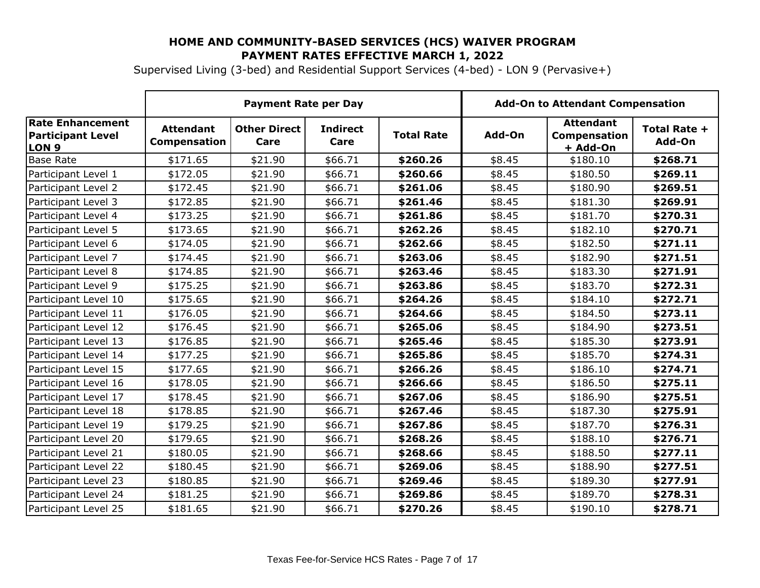Supervised Living (3-bed) and Residential Support Services (4-bed) - LON 9 (Pervasive+)

|                                                                         | <b>Payment Rate per Day</b>             |                             |                         |                   | <b>Add-On to Attendant Compensation</b> |                                              |                        |
|-------------------------------------------------------------------------|-----------------------------------------|-----------------------------|-------------------------|-------------------|-----------------------------------------|----------------------------------------------|------------------------|
| <b>Rate Enhancement</b><br><b>Participant Level</b><br>LON <sub>9</sub> | <b>Attendant</b><br><b>Compensation</b> | <b>Other Direct</b><br>Care | <b>Indirect</b><br>Care | <b>Total Rate</b> | Add-On                                  | <b>Attendant</b><br>Compensation<br>+ Add-On | Total Rate +<br>Add-On |
| <b>Base Rate</b>                                                        | \$171.65                                | \$21.90                     | \$66.71                 | \$260.26          | \$8.45                                  | \$180.10                                     | \$268.71               |
| Participant Level 1                                                     | \$172.05                                | \$21.90                     | \$66.71                 | \$260.66          | \$8.45                                  | \$180.50                                     | \$269.11               |
| Participant Level 2                                                     | \$172.45                                | \$21.90                     | \$66.71                 | \$261.06          | \$8.45                                  | \$180.90                                     | \$269.51               |
| Participant Level 3                                                     | \$172.85                                | \$21.90                     | \$66.71                 | \$261.46          | \$8.45                                  | \$181.30                                     | \$269.91               |
| Participant Level 4                                                     | \$173.25                                | \$21.90                     | \$66.71                 | \$261.86          | \$8.45                                  | \$181.70                                     | \$270.31               |
| Participant Level 5                                                     | \$173.65                                | \$21.90                     | \$66.71                 | \$262.26          | \$8.45                                  | \$182.10                                     | \$270.71               |
| Participant Level 6                                                     | \$174.05                                | \$21.90                     | \$66.71                 | \$262.66          | \$8.45                                  | \$182.50                                     | \$271.11               |
| Participant Level 7                                                     | \$174.45                                | \$21.90                     | \$66.71                 | \$263.06          | \$8.45                                  | \$182.90                                     | \$271.51               |
| Participant Level 8                                                     | \$174.85                                | \$21.90                     | \$66.71                 | \$263.46          | \$8.45                                  | \$183.30                                     | \$271.91               |
| Participant Level 9                                                     | \$175.25                                | \$21.90                     | \$66.71                 | \$263.86          | \$8.45                                  | \$183.70                                     | \$272.31               |
| Participant Level 10                                                    | \$175.65                                | \$21.90                     | \$66.71                 | \$264.26          | \$8.45                                  | \$184.10                                     | \$272.71               |
| Participant Level 11                                                    | \$176.05                                | \$21.90                     | \$66.71                 | \$264.66          | \$8.45                                  | \$184.50                                     | \$273.11               |
| Participant Level 12                                                    | \$176.45                                | \$21.90                     | \$66.71                 | \$265.06          | \$8.45                                  | \$184.90                                     | \$273.51               |
| Participant Level 13                                                    | \$176.85                                | \$21.90                     | \$66.71                 | \$265.46          | \$8.45                                  | \$185.30                                     | \$273.91               |
| Participant Level 14                                                    | \$177.25                                | \$21.90                     | \$66.71                 | \$265.86          | \$8.45                                  | \$185.70                                     | \$274.31               |
| Participant Level 15                                                    | \$177.65                                | \$21.90                     | \$66.71                 | \$266.26          | \$8.45                                  | \$186.10                                     | \$274.71               |
| Participant Level 16                                                    | \$178.05                                | \$21.90                     | \$66.71                 | \$266.66          | \$8.45                                  | \$186.50                                     | \$275.11               |
| Participant Level 17                                                    | \$178.45                                | \$21.90                     | \$66.71                 | \$267.06          | \$8.45                                  | \$186.90                                     | \$275.51               |
| Participant Level 18                                                    | \$178.85                                | \$21.90                     | \$66.71                 | \$267.46          | \$8.45                                  | \$187.30                                     | \$275.91               |
| Participant Level 19                                                    | \$179.25                                | \$21.90                     | \$66.71                 | \$267.86          | \$8.45                                  | \$187.70                                     | \$276.31               |
| Participant Level 20                                                    | \$179.65                                | \$21.90                     | \$66.71                 | \$268.26          | \$8.45                                  | \$188.10                                     | \$276.71               |
| Participant Level 21                                                    | \$180.05                                | \$21.90                     | \$66.71                 | \$268.66          | \$8.45                                  | \$188.50                                     | \$277.11               |
| Participant Level 22                                                    | \$180.45                                | \$21.90                     | \$66.71                 | \$269.06          | \$8.45                                  | \$188.90                                     | \$277.51               |
| Participant Level 23                                                    | \$180.85                                | \$21.90                     | \$66.71                 | \$269.46          | \$8.45                                  | \$189.30                                     | \$277.91               |
| Participant Level 24                                                    | \$181.25                                | \$21.90                     | \$66.71                 | \$269.86          | \$8.45                                  | \$189.70                                     | \$278.31               |
| Participant Level 25                                                    | \$181.65                                | \$21.90                     | \$66.71                 | \$270.26          | \$8.45                                  | \$190.10                                     | \$278.71               |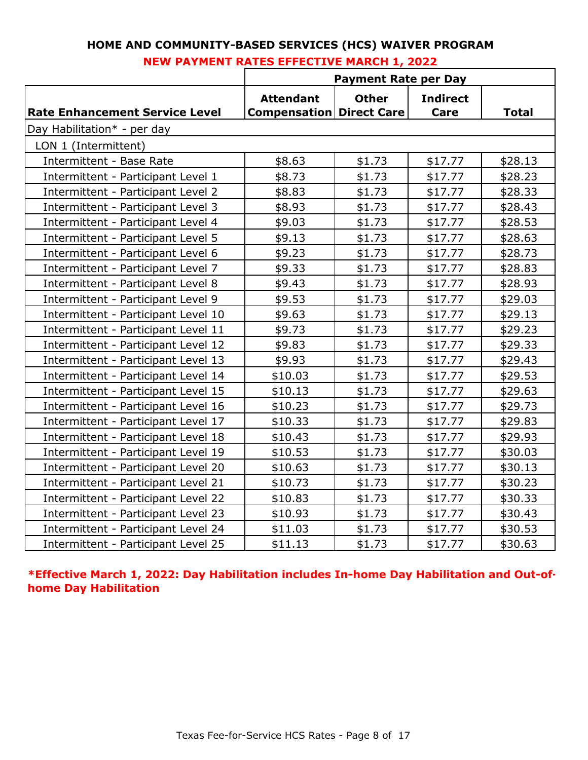|                                       | <b>Payment Rate per Day</b>                         |              |                         |              |  |  |
|---------------------------------------|-----------------------------------------------------|--------------|-------------------------|--------------|--|--|
| <b>Rate Enhancement Service Level</b> | <b>Attendant</b><br><b>Compensation Direct Care</b> | <b>Other</b> | <b>Indirect</b><br>Care | <b>Total</b> |  |  |
| Day Habilitation* - per day           |                                                     |              |                         |              |  |  |
| LON 1 (Intermittent)                  |                                                     |              |                         |              |  |  |
| <b>Intermittent - Base Rate</b>       | \$8.63                                              | \$1.73       | \$17.77                 | \$28.13      |  |  |
| Intermittent - Participant Level 1    | \$8.73                                              | \$1.73       | \$17.77                 | \$28.23      |  |  |
| Intermittent - Participant Level 2    | \$8.83                                              | \$1.73       | \$17.77                 | \$28.33      |  |  |
| Intermittent - Participant Level 3    | \$8.93                                              | \$1.73       | \$17.77                 | \$28.43      |  |  |
| Intermittent - Participant Level 4    | \$9.03                                              | \$1.73       | \$17.77                 | \$28.53      |  |  |
| Intermittent - Participant Level 5    | \$9.13                                              | \$1.73       | \$17.77                 | \$28.63      |  |  |
| Intermittent - Participant Level 6    | \$9.23                                              | \$1.73       | \$17.77                 | \$28.73      |  |  |
| Intermittent - Participant Level 7    | \$9.33                                              | \$1.73       | \$17.77                 | \$28.83      |  |  |
| Intermittent - Participant Level 8    | \$9.43                                              | \$1.73       | \$17.77                 | \$28.93      |  |  |
| Intermittent - Participant Level 9    | \$9.53                                              | \$1.73       | \$17.77                 | \$29.03      |  |  |
| Intermittent - Participant Level 10   | \$9.63                                              | \$1.73       | \$17.77                 | \$29.13      |  |  |
| Intermittent - Participant Level 11   | \$9.73                                              | \$1.73       | \$17.77                 | \$29.23      |  |  |
| Intermittent - Participant Level 12   | \$9.83                                              | \$1.73       | \$17.77                 | \$29.33      |  |  |
| Intermittent - Participant Level 13   | \$9.93                                              | \$1.73       | \$17.77                 | \$29.43      |  |  |
| Intermittent - Participant Level 14   | \$10.03                                             | \$1.73       | \$17.77                 | \$29.53      |  |  |
| Intermittent - Participant Level 15   | \$10.13                                             | \$1.73       | \$17.77                 | \$29.63      |  |  |
| Intermittent - Participant Level 16   | \$10.23                                             | \$1.73       | \$17.77                 | \$29.73      |  |  |
| Intermittent - Participant Level 17   | \$10.33                                             | \$1.73       | \$17.77                 | \$29.83      |  |  |
| Intermittent - Participant Level 18   | \$10.43                                             | \$1.73       | \$17.77                 | \$29.93      |  |  |
| Intermittent - Participant Level 19   | \$10.53                                             | \$1.73       | \$17.77                 | \$30.03      |  |  |
| Intermittent - Participant Level 20   | \$10.63                                             | \$1.73       | \$17.77                 | \$30.13      |  |  |
| Intermittent - Participant Level 21   | \$10.73                                             | \$1.73       | \$17.77                 | \$30.23      |  |  |
| Intermittent - Participant Level 22   | \$10.83                                             | \$1.73       | \$17.77                 | \$30.33      |  |  |
| Intermittent - Participant Level 23   | \$10.93                                             | \$1.73       | \$17.77                 | \$30.43      |  |  |
| Intermittent - Participant Level 24   | \$11.03                                             | \$1.73       | \$17.77                 | \$30.53      |  |  |
| Intermittent - Participant Level 25   | \$11.13                                             | \$1.73       | \$17.77                 | \$30.63      |  |  |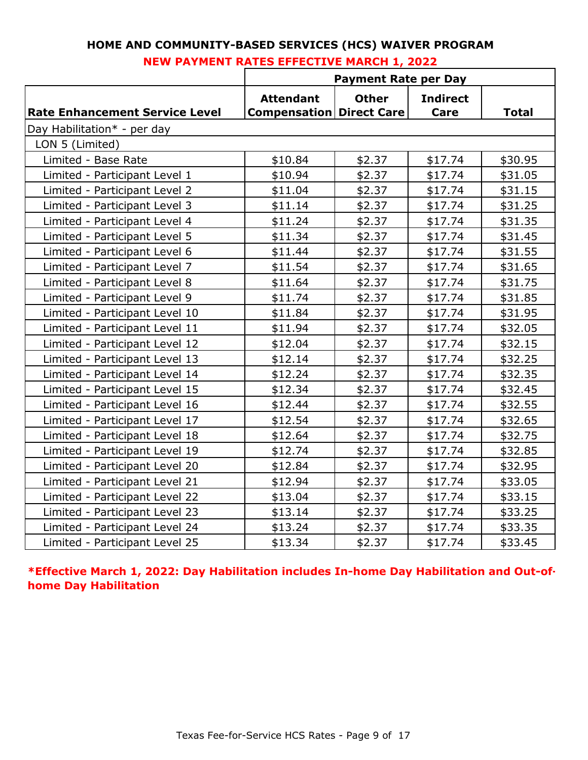| HOME AND COMMUNITY-BASED SERVICES (HCS) WAIVER PROGRAM |  |
|--------------------------------------------------------|--|
| <b>NEW PAYMENT RATES EFFECTIVE MARCH 1, 2022</b>       |  |

|                                       | <b>Payment Rate per Day</b>                         |              |                         |              |  |  |  |
|---------------------------------------|-----------------------------------------------------|--------------|-------------------------|--------------|--|--|--|
| <b>Rate Enhancement Service Level</b> | <b>Attendant</b><br><b>Compensation Direct Care</b> | <b>Other</b> | <b>Indirect</b><br>Care | <b>Total</b> |  |  |  |
| Day Habilitation* - per day           |                                                     |              |                         |              |  |  |  |
| LON 5 (Limited)                       |                                                     |              |                         |              |  |  |  |
| Limited - Base Rate                   | \$10.84                                             | \$2.37       | \$17.74                 | \$30.95      |  |  |  |
| Limited - Participant Level 1         | \$10.94                                             | \$2.37       | \$17.74                 | \$31.05      |  |  |  |
| Limited - Participant Level 2         | \$11.04                                             | \$2.37       | \$17.74                 | \$31.15      |  |  |  |
| Limited - Participant Level 3         | \$11.14                                             | \$2.37       | \$17.74                 | \$31.25      |  |  |  |
| Limited - Participant Level 4         | \$11.24                                             | \$2.37       | \$17.74                 | \$31.35      |  |  |  |
| Limited - Participant Level 5         | \$11.34                                             | \$2.37       | \$17.74                 | \$31.45      |  |  |  |
| Limited - Participant Level 6         | \$11.44                                             | \$2.37       | \$17.74                 | \$31.55      |  |  |  |
| Limited - Participant Level 7         | \$11.54                                             | \$2.37       | \$17.74                 | \$31.65      |  |  |  |
| Limited - Participant Level 8         | \$11.64                                             | \$2.37       | \$17.74                 | \$31.75      |  |  |  |
| Limited - Participant Level 9         | \$11.74                                             | \$2.37       | \$17.74                 | \$31.85      |  |  |  |
| Limited - Participant Level 10        | \$11.84                                             | \$2.37       | \$17.74                 | \$31.95      |  |  |  |
| Limited - Participant Level 11        | \$11.94                                             | \$2.37       | \$17.74                 | \$32.05      |  |  |  |
| Limited - Participant Level 12        | \$12.04                                             | \$2.37       | \$17.74                 | \$32.15      |  |  |  |
| Limited - Participant Level 13        | \$12.14                                             | \$2.37       | \$17.74                 | \$32.25      |  |  |  |
| Limited - Participant Level 14        | \$12.24                                             | \$2.37       | \$17.74                 | \$32.35      |  |  |  |
| Limited - Participant Level 15        | \$12.34                                             | \$2.37       | \$17.74                 | \$32.45      |  |  |  |
| Limited - Participant Level 16        | \$12.44                                             | \$2.37       | \$17.74                 | \$32.55      |  |  |  |
| Limited - Participant Level 17        | \$12.54                                             | \$2.37       | \$17.74                 | \$32.65      |  |  |  |
| Limited - Participant Level 18        | \$12.64                                             | \$2.37       | \$17.74                 | \$32.75      |  |  |  |
| Limited - Participant Level 19        | \$12.74                                             | \$2.37       | \$17.74                 | \$32.85      |  |  |  |
| Limited - Participant Level 20        | \$12.84                                             | \$2.37       | \$17.74                 | \$32.95      |  |  |  |
| Limited - Participant Level 21        | \$12.94                                             | \$2.37       | \$17.74                 | \$33.05      |  |  |  |
| Limited - Participant Level 22        | \$13.04                                             | \$2.37       | \$17.74                 | \$33.15      |  |  |  |
| Limited - Participant Level 23        | \$13.14                                             | \$2.37       | \$17.74                 | \$33.25      |  |  |  |
| Limited - Participant Level 24        | \$13.24                                             | \$2.37       | \$17.74                 | \$33.35      |  |  |  |
| Limited - Participant Level 25        | \$13.34                                             | \$2.37       | \$17.74                 | \$33.45      |  |  |  |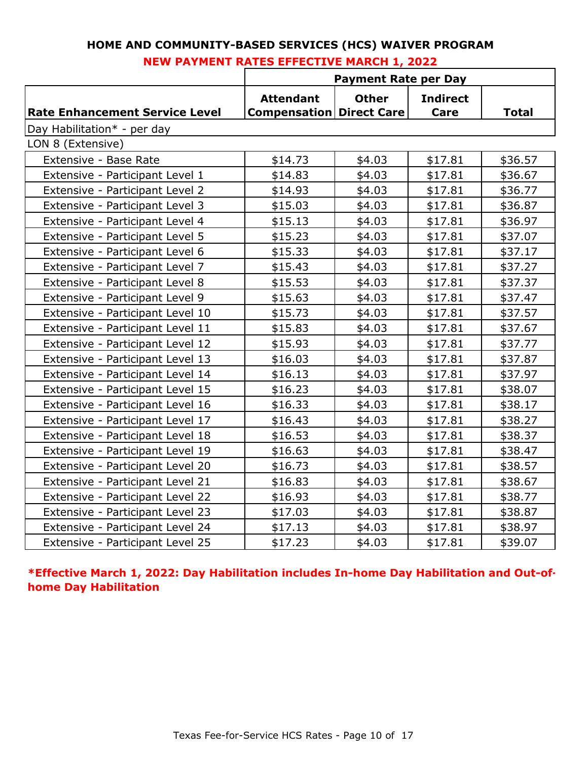|                                       |                                                     | <b>Payment Rate per Day</b> |                         |              |
|---------------------------------------|-----------------------------------------------------|-----------------------------|-------------------------|--------------|
| <b>Rate Enhancement Service Level</b> | <b>Attendant</b><br><b>Compensation Direct Care</b> | <b>Other</b>                | <b>Indirect</b><br>Care | <b>Total</b> |
| Day Habilitation* - per day           |                                                     |                             |                         |              |
| LON 8 (Extensive)                     |                                                     |                             |                         |              |
| Extensive - Base Rate                 | \$14.73                                             | \$4.03                      | \$17.81                 | \$36.57      |
| Extensive - Participant Level 1       | \$14.83                                             | \$4.03                      | \$17.81                 | \$36.67      |
| Extensive - Participant Level 2       | \$14.93                                             | \$4.03                      | \$17.81                 | \$36.77      |
| Extensive - Participant Level 3       | \$15.03                                             | \$4.03                      | \$17.81                 | \$36.87      |
| Extensive - Participant Level 4       | \$15.13                                             | \$4.03                      | \$17.81                 | \$36.97      |
| Extensive - Participant Level 5       | \$15.23                                             | \$4.03                      | \$17.81                 | \$37.07      |
| Extensive - Participant Level 6       | \$15.33                                             | \$4.03                      | \$17.81                 | \$37.17      |
| Extensive - Participant Level 7       | \$15.43                                             | \$4.03                      | \$17.81                 | \$37.27      |
| Extensive - Participant Level 8       | \$15.53                                             | \$4.03                      | \$17.81                 | \$37.37      |
| Extensive - Participant Level 9       | \$15.63                                             | \$4.03                      | \$17.81                 | \$37.47      |
| Extensive - Participant Level 10      | \$15.73                                             | \$4.03                      | \$17.81                 | \$37.57      |
| Extensive - Participant Level 11      | \$15.83                                             | \$4.03                      | \$17.81                 | \$37.67      |
| Extensive - Participant Level 12      | \$15.93                                             | \$4.03                      | \$17.81                 | \$37.77      |
| Extensive - Participant Level 13      | \$16.03                                             | \$4.03                      | \$17.81                 | \$37.87      |
| Extensive - Participant Level 14      | \$16.13                                             | \$4.03                      | \$17.81                 | \$37.97      |
| Extensive - Participant Level 15      | \$16.23                                             | \$4.03                      | \$17.81                 | \$38.07      |
| Extensive - Participant Level 16      | \$16.33                                             | \$4.03                      | \$17.81                 | \$38.17      |
| Extensive - Participant Level 17      | \$16.43                                             | \$4.03                      | \$17.81                 | \$38.27      |
| Extensive - Participant Level 18      | \$16.53                                             | \$4.03                      | \$17.81                 | \$38.37      |
| Extensive - Participant Level 19      | \$16.63                                             | \$4.03                      | \$17.81                 | \$38.47      |
| Extensive - Participant Level 20      | \$16.73                                             | \$4.03                      | \$17.81                 | \$38.57      |
| Extensive - Participant Level 21      | \$16.83                                             | \$4.03                      | \$17.81                 | \$38.67      |
| Extensive - Participant Level 22      | \$16.93                                             | \$4.03                      | \$17.81                 | \$38.77      |
| Extensive - Participant Level 23      | \$17.03                                             | \$4.03                      | \$17.81                 | \$38.87      |
| Extensive - Participant Level 24      | \$17.13                                             | \$4.03                      | \$17.81                 | \$38.97      |
| Extensive - Participant Level 25      | \$17.23                                             | \$4.03                      | \$17.81                 | \$39.07      |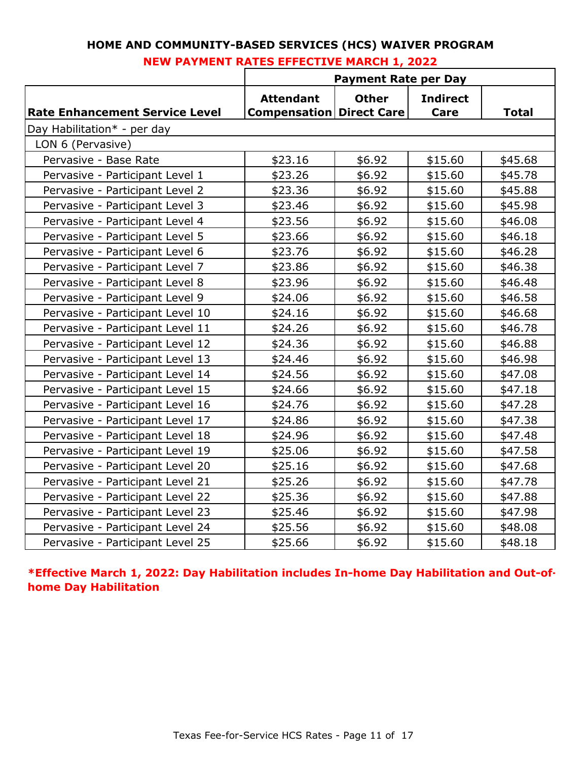| HOME AND COMMUNITY-BASED SERVICES (HCS) WAIVER PROGRAM |  |
|--------------------------------------------------------|--|
| <b>NEW PAYMENT RATES EFFECTIVE MARCH 1, 2022</b>       |  |

|                                       | <b>Payment Rate per Day</b>                         |              |                         |              |
|---------------------------------------|-----------------------------------------------------|--------------|-------------------------|--------------|
| <b>Rate Enhancement Service Level</b> | <b>Attendant</b><br><b>Compensation Direct Care</b> | <b>Other</b> | <b>Indirect</b><br>Care | <b>Total</b> |
| Day Habilitation* - per day           |                                                     |              |                         |              |
| LON 6 (Pervasive)                     |                                                     |              |                         |              |
| Pervasive - Base Rate                 | \$23.16                                             | \$6.92       | \$15.60                 | \$45.68      |
| Pervasive - Participant Level 1       | \$23.26                                             | \$6.92       | \$15.60                 | \$45.78      |
| Pervasive - Participant Level 2       | \$23.36                                             | \$6.92       | \$15.60                 | \$45.88      |
| Pervasive - Participant Level 3       | \$23.46                                             | \$6.92       | \$15.60                 | \$45.98      |
| Pervasive - Participant Level 4       | \$23.56                                             | \$6.92       | \$15.60                 | \$46.08      |
| Pervasive - Participant Level 5       | \$23.66                                             | \$6.92       | \$15.60                 | \$46.18      |
| Pervasive - Participant Level 6       | \$23.76                                             | \$6.92       | \$15.60                 | \$46.28      |
| Pervasive - Participant Level 7       | \$23.86                                             | \$6.92       | \$15.60                 | \$46.38      |
| Pervasive - Participant Level 8       | \$23.96                                             | \$6.92       | \$15.60                 | \$46.48      |
| Pervasive - Participant Level 9       | \$24.06                                             | \$6.92       | \$15.60                 | \$46.58      |
| Pervasive - Participant Level 10      | \$24.16                                             | \$6.92       | \$15.60                 | \$46.68      |
| Pervasive - Participant Level 11      | \$24.26                                             | \$6.92       | \$15.60                 | \$46.78      |
| Pervasive - Participant Level 12      | \$24.36                                             | \$6.92       | \$15.60                 | \$46.88      |
| Pervasive - Participant Level 13      | \$24.46                                             | \$6.92       | \$15.60                 | \$46.98      |
| Pervasive - Participant Level 14      | \$24.56                                             | \$6.92       | \$15.60                 | \$47.08      |
| Pervasive - Participant Level 15      | \$24.66                                             | \$6.92       | \$15.60                 | \$47.18      |
| Pervasive - Participant Level 16      | \$24.76                                             | \$6.92       | \$15.60                 | \$47.28      |
| Pervasive - Participant Level 17      | \$24.86                                             | \$6.92       | \$15.60                 | \$47.38      |
| Pervasive - Participant Level 18      | \$24.96                                             | \$6.92       | \$15.60                 | \$47.48      |
| Pervasive - Participant Level 19      | \$25.06                                             | \$6.92       | \$15.60                 | \$47.58      |
| Pervasive - Participant Level 20      | \$25.16                                             | \$6.92       | \$15.60                 | \$47.68      |
| Pervasive - Participant Level 21      | \$25.26                                             | \$6.92       | \$15.60                 | \$47.78      |
| Pervasive - Participant Level 22      | \$25.36                                             | \$6.92       | \$15.60                 | \$47.88      |
| Pervasive - Participant Level 23      | \$25.46                                             | \$6.92       | \$15.60                 | \$47.98      |
| Pervasive - Participant Level 24      | \$25.56                                             | \$6.92       | \$15.60                 | \$48.08      |
| Pervasive - Participant Level 25      | \$25.66                                             | \$6.92       | \$15.60                 | \$48.18      |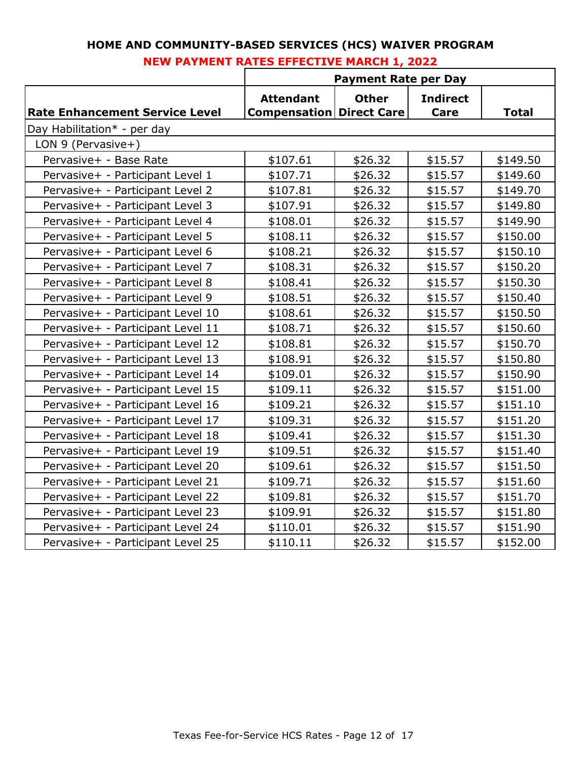|                                       | <b>Payment Rate per Day</b>                         |              |                         |              |
|---------------------------------------|-----------------------------------------------------|--------------|-------------------------|--------------|
| <b>Rate Enhancement Service Level</b> | <b>Attendant</b><br><b>Compensation Direct Care</b> | <b>Other</b> | <b>Indirect</b><br>Care | <b>Total</b> |
| Day Habilitation* - per day           |                                                     |              |                         |              |
| LON 9 (Pervasive+)                    |                                                     |              |                         |              |
| Pervasive+ - Base Rate                | \$107.61                                            | \$26.32      | \$15.57                 | \$149.50     |
| Pervasive+ - Participant Level 1      | \$107.71                                            | \$26.32      | \$15.57                 | \$149.60     |
| Pervasive+ - Participant Level 2      | \$107.81                                            | \$26.32      | \$15.57                 | \$149.70     |
| Pervasive+ - Participant Level 3      | \$107.91                                            | \$26.32      | \$15.57                 | \$149.80     |
| Pervasive+ - Participant Level 4      | \$108.01                                            | \$26.32      | \$15.57                 | \$149.90     |
| Pervasive+ - Participant Level 5      | \$108.11                                            | \$26.32      | \$15.57                 | \$150.00     |
| Pervasive+ - Participant Level 6      | \$108.21                                            | \$26.32      | \$15.57                 | \$150.10     |
| Pervasive+ - Participant Level 7      | \$108.31                                            | \$26.32      | \$15.57                 | \$150.20     |
| Pervasive+ - Participant Level 8      | \$108.41                                            | \$26.32      | \$15.57                 | \$150.30     |
| Pervasive+ - Participant Level 9      | \$108.51                                            | \$26.32      | \$15.57                 | \$150.40     |
| Pervasive+ - Participant Level 10     | \$108.61                                            | \$26.32      | \$15.57                 | \$150.50     |
| Pervasive+ - Participant Level 11     | \$108.71                                            | \$26.32      | \$15.57                 | \$150.60     |
| Pervasive+ - Participant Level 12     | \$108.81                                            | \$26.32      | \$15.57                 | \$150.70     |
| Pervasive+ - Participant Level 13     | \$108.91                                            | \$26.32      | \$15.57                 | \$150.80     |
| Pervasive+ - Participant Level 14     | \$109.01                                            | \$26.32      | \$15.57                 | \$150.90     |
| Pervasive+ - Participant Level 15     | \$109.11                                            | \$26.32      | \$15.57                 | \$151.00     |
| Pervasive+ - Participant Level 16     | \$109.21                                            | \$26.32      | \$15.57                 | \$151.10     |
| Pervasive+ - Participant Level 17     | \$109.31                                            | \$26.32      | \$15.57                 | \$151.20     |
| Pervasive+ - Participant Level 18     | \$109.41                                            | \$26.32      | \$15.57                 | \$151.30     |
| Pervasive+ - Participant Level 19     | \$109.51                                            | \$26.32      | \$15.57                 | \$151.40     |
| Pervasive+ - Participant Level 20     | \$109.61                                            | \$26.32      | \$15.57                 | \$151.50     |
| Pervasive+ - Participant Level 21     | \$109.71                                            | \$26.32      | \$15.57                 | \$151.60     |
| Pervasive+ - Participant Level 22     | \$109.81                                            | \$26.32      | \$15.57                 | \$151.70     |
| Pervasive+ - Participant Level 23     | \$109.91                                            | \$26.32      | \$15.57                 | \$151.80     |
| Pervasive+ - Participant Level 24     | \$110.01                                            | \$26.32      | \$15.57                 | \$151.90     |
| Pervasive+ - Participant Level 25     | \$110.11                                            | \$26.32      | \$15.57                 | \$152.00     |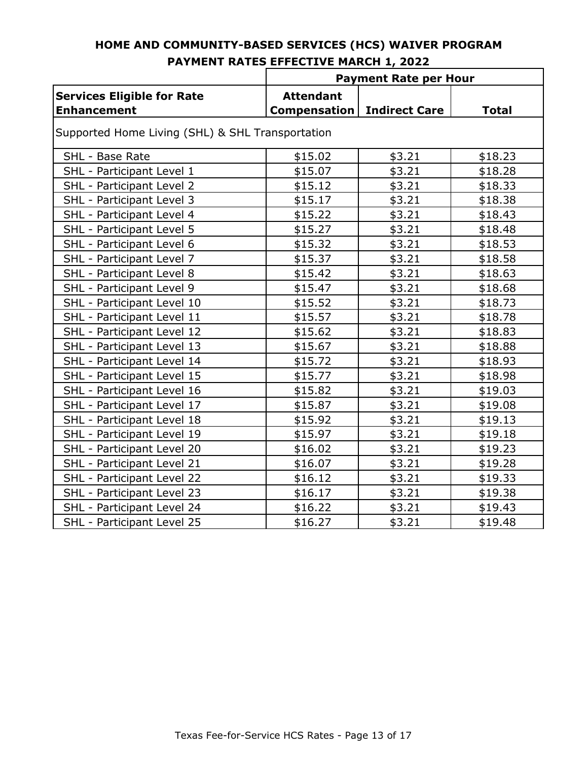|                                                         | <b>Payment Rate per Hour</b>            |                      |              |  |  |  |
|---------------------------------------------------------|-----------------------------------------|----------------------|--------------|--|--|--|
| <b>Services Eligible for Rate</b><br><b>Enhancement</b> | <b>Attendant</b><br><b>Compensation</b> | <b>Indirect Care</b> | <b>Total</b> |  |  |  |
| Supported Home Living (SHL) & SHL Transportation        |                                         |                      |              |  |  |  |
| SHL - Base Rate                                         | \$15.02                                 | \$3.21               | \$18.23      |  |  |  |
| SHL - Participant Level 1                               | \$15.07                                 | \$3.21               | \$18.28      |  |  |  |
| SHL - Participant Level 2                               | \$15.12                                 | \$3.21               | \$18.33      |  |  |  |
| SHL - Participant Level 3                               | \$15.17                                 | \$3.21               | \$18.38      |  |  |  |
| SHL - Participant Level 4                               | \$15.22                                 | \$3.21               | \$18.43      |  |  |  |
| SHL - Participant Level 5                               | \$15.27                                 | \$3.21               | \$18.48      |  |  |  |
| SHL - Participant Level 6                               | \$15.32                                 | \$3.21               | \$18.53      |  |  |  |
| SHL - Participant Level 7                               | \$15.37                                 | \$3.21               | \$18.58      |  |  |  |
| SHL - Participant Level 8                               | \$15.42                                 | \$3.21               | \$18.63      |  |  |  |
| SHL - Participant Level 9                               | \$15.47                                 | \$3.21               | \$18.68      |  |  |  |
| SHL - Participant Level 10                              | \$15.52                                 | \$3.21               | \$18.73      |  |  |  |
| SHL - Participant Level 11                              | \$15.57                                 | \$3.21               | \$18.78      |  |  |  |
| SHL - Participant Level 12                              | \$15.62                                 | \$3.21               | \$18.83      |  |  |  |
| SHL - Participant Level 13                              | \$15.67                                 | \$3.21               | \$18.88      |  |  |  |
| SHL - Participant Level 14                              | \$15.72                                 | \$3.21               | \$18.93      |  |  |  |
| SHL - Participant Level 15                              | \$15.77                                 | \$3.21               | \$18.98      |  |  |  |
| SHL - Participant Level 16                              | \$15.82                                 | \$3.21               | \$19.03      |  |  |  |
| SHL - Participant Level 17                              | \$15.87                                 | \$3.21               | \$19.08      |  |  |  |
| SHL - Participant Level 18                              | \$15.92                                 | \$3.21               | \$19.13      |  |  |  |
| SHL - Participant Level 19                              | \$15.97                                 | \$3.21               | \$19.18      |  |  |  |
| SHL - Participant Level 20                              | \$16.02                                 | \$3.21               | \$19.23      |  |  |  |
| SHL - Participant Level 21                              | \$16.07                                 | \$3.21               | \$19.28      |  |  |  |
| SHL - Participant Level 22                              | \$16.12                                 | \$3.21               | \$19.33      |  |  |  |
| SHL - Participant Level 23                              | \$16.17                                 | \$3.21               | \$19.38      |  |  |  |
| SHL - Participant Level 24                              | \$16.22                                 | \$3.21               | \$19.43      |  |  |  |
| SHL - Participant Level 25                              | \$16.27                                 | \$3.21               | \$19.48      |  |  |  |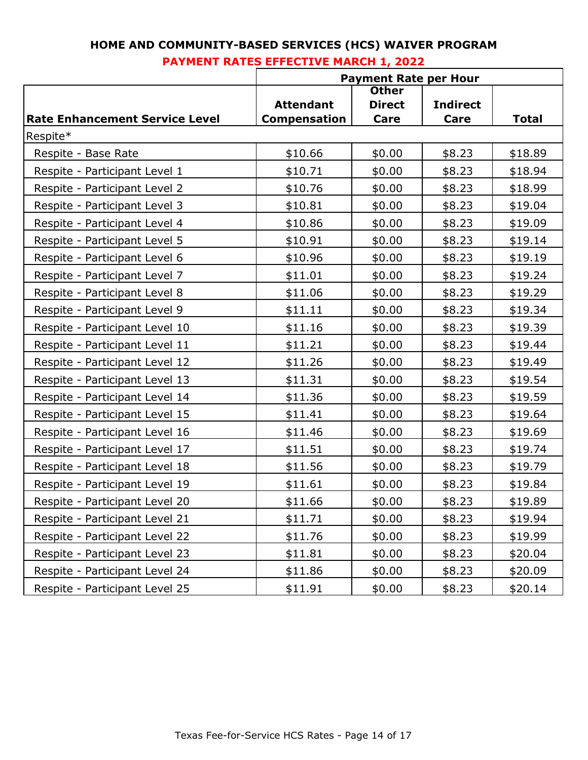|                                       | <b>Payment Rate per Hour</b>            |                       |                         |              |
|---------------------------------------|-----------------------------------------|-----------------------|-------------------------|--------------|
|                                       |                                         | <b>Other</b>          |                         |              |
| <b>Rate Enhancement Service Level</b> | <b>Attendant</b><br><b>Compensation</b> | <b>Direct</b><br>Care | <b>Indirect</b><br>Care | <b>Total</b> |
| Respite*                              |                                         |                       |                         |              |
| Respite - Base Rate                   | \$10.66                                 | \$0.00                | \$8.23                  | \$18.89      |
| Respite - Participant Level 1         | \$10.71                                 | \$0.00                | \$8.23                  | \$18.94      |
| Respite - Participant Level 2         | \$10.76                                 | \$0.00                | \$8.23                  | \$18.99      |
| Respite - Participant Level 3         | \$10.81                                 | \$0.00                | \$8.23                  | \$19.04      |
| Respite - Participant Level 4         | \$10.86                                 | \$0.00                | \$8.23                  | \$19.09      |
| Respite - Participant Level 5         | \$10.91                                 | \$0.00                | \$8.23                  | \$19.14      |
| Respite - Participant Level 6         | \$10.96                                 | \$0.00                | \$8.23                  | \$19.19      |
| Respite - Participant Level 7         | \$11.01                                 | \$0.00                | \$8.23                  | \$19.24      |
| Respite - Participant Level 8         | \$11.06                                 | \$0.00                | \$8.23                  | \$19.29      |
| Respite - Participant Level 9         | \$11.11                                 | \$0.00                | \$8.23                  | \$19.34      |
| Respite - Participant Level 10        | \$11.16                                 | \$0.00                | \$8.23                  | \$19.39      |
| Respite - Participant Level 11        | \$11.21                                 | \$0.00                | \$8.23                  | \$19.44      |
| Respite - Participant Level 12        | \$11.26                                 | \$0.00                | \$8.23                  | \$19.49      |
| Respite - Participant Level 13        | \$11.31                                 | \$0.00                | \$8.23                  | \$19.54      |
| Respite - Participant Level 14        | \$11.36                                 | \$0.00                | \$8.23                  | \$19.59      |
| Respite - Participant Level 15        | \$11.41                                 | \$0.00                | \$8.23                  | \$19.64      |
| Respite - Participant Level 16        | \$11.46                                 | \$0.00                | \$8.23                  | \$19.69      |
| Respite - Participant Level 17        | \$11.51                                 | \$0.00                | \$8.23                  | \$19.74      |
| Respite - Participant Level 18        | \$11.56                                 | \$0.00                | \$8.23                  | \$19.79      |
| Respite - Participant Level 19        | \$11.61                                 | \$0.00                | \$8.23                  | \$19.84      |
| Respite - Participant Level 20        | \$11.66                                 | \$0.00                | \$8.23                  | \$19.89      |
| Respite - Participant Level 21        | \$11.71                                 | \$0.00                | \$8.23                  | \$19.94      |
| Respite - Participant Level 22        | \$11.76                                 | \$0.00                | \$8.23                  | \$19.99      |
| Respite - Participant Level 23        | \$11.81                                 | \$0.00                | \$8.23                  | \$20.04      |
| Respite - Participant Level 24        | \$11.86                                 | \$0.00                | \$8.23                  | \$20.09      |
| Respite - Participant Level 25        | \$11.91                                 | \$0.00                | \$8.23                  | \$20.14      |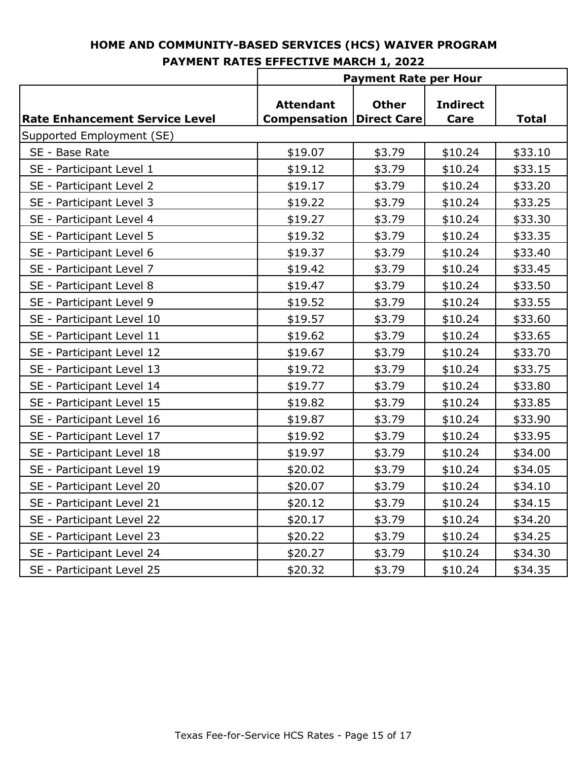|                                       | <b>Payment Rate per Hour</b>            |                                    |                         |              |
|---------------------------------------|-----------------------------------------|------------------------------------|-------------------------|--------------|
| <b>Rate Enhancement Service Level</b> | <b>Attendant</b><br><b>Compensation</b> | <b>Other</b><br><b>Direct Care</b> | <b>Indirect</b><br>Care | <b>Total</b> |
| Supported Employment (SE)             |                                         |                                    |                         |              |
| SE - Base Rate                        | \$19.07                                 | \$3.79                             | \$10.24                 | \$33.10      |
| SE - Participant Level 1              | \$19.12                                 | \$3.79                             | \$10.24                 | \$33.15      |
| SE - Participant Level 2              | \$19.17                                 | \$3.79                             | \$10.24                 | \$33.20      |
| SE - Participant Level 3              | \$19.22                                 | \$3.79                             | \$10.24                 | \$33.25      |
| SE - Participant Level 4              | \$19.27                                 | \$3.79                             | \$10.24                 | \$33.30      |
| SE - Participant Level 5              | \$19.32                                 | \$3.79                             | \$10.24                 | \$33.35      |
| SE - Participant Level 6              | \$19.37                                 | \$3.79                             | \$10.24                 | \$33.40      |
| SE - Participant Level 7              | \$19.42                                 | \$3.79                             | \$10.24                 | \$33.45      |
| SE - Participant Level 8              | \$19.47                                 | \$3.79                             | \$10.24                 | \$33.50      |
| SE - Participant Level 9              | \$19.52                                 | \$3.79                             | \$10.24                 | \$33.55      |
| SE - Participant Level 10             | \$19.57                                 | \$3.79                             | \$10.24                 | \$33.60      |
| SE - Participant Level 11             | \$19.62                                 | \$3.79                             | \$10.24                 | \$33.65      |
| SE - Participant Level 12             | \$19.67                                 | \$3.79                             | \$10.24                 | \$33.70      |
| SE - Participant Level 13             | \$19.72                                 | \$3.79                             | \$10.24                 | \$33.75      |
| SE - Participant Level 14             | \$19.77                                 | \$3.79                             | \$10.24                 | \$33.80      |
| SE - Participant Level 15             | \$19.82                                 | \$3.79                             | \$10.24                 | \$33.85      |
| SE - Participant Level 16             | \$19.87                                 | \$3.79                             | \$10.24                 | \$33.90      |
| SE - Participant Level 17             | \$19.92                                 | \$3.79                             | \$10.24                 | \$33.95      |
| SE - Participant Level 18             | \$19.97                                 | \$3.79                             | \$10.24                 | \$34.00      |
| SE - Participant Level 19             | \$20.02                                 | \$3.79                             | \$10.24                 | \$34.05      |
| SE - Participant Level 20             | \$20.07                                 | \$3.79                             | \$10.24                 | \$34.10      |
| SE - Participant Level 21             | \$20.12                                 | \$3.79                             | \$10.24                 | \$34.15      |
| SE - Participant Level 22             | \$20.17                                 | \$3.79                             | \$10.24                 | \$34.20      |
| SE - Participant Level 23             | \$20.22                                 | \$3.79                             | \$10.24                 | \$34.25      |
| SE - Participant Level 24             | \$20.27                                 | \$3.79                             | \$10.24                 | \$34.30      |
| SE - Participant Level 25             | \$20.32                                 | \$3.79                             | \$10.24                 | \$34.35      |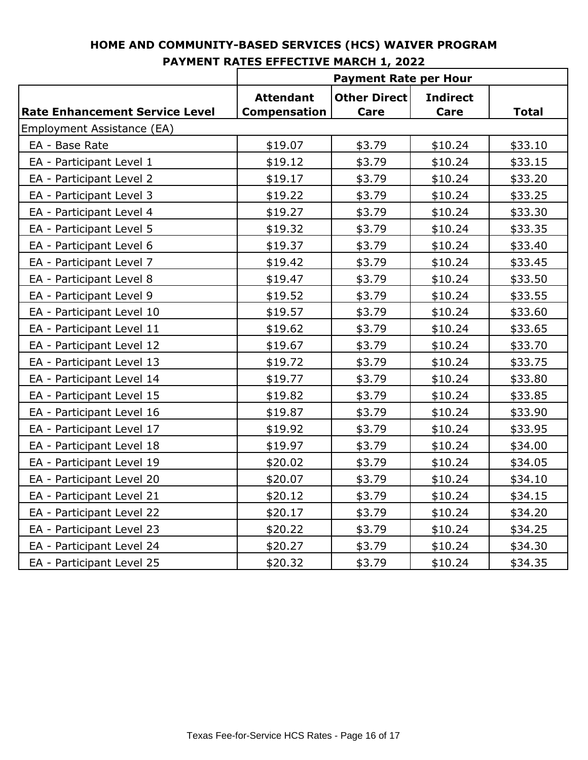|                                       | <b>Payment Rate per Hour</b> |                     |                 |              |
|---------------------------------------|------------------------------|---------------------|-----------------|--------------|
|                                       | <b>Attendant</b>             | <b>Other Direct</b> | <b>Indirect</b> |              |
| <b>Rate Enhancement Service Level</b> | <b>Compensation</b>          | Care                | Care            | <b>Total</b> |
| Employment Assistance (EA)            |                              |                     |                 |              |
| EA - Base Rate                        | \$19.07                      | \$3.79              | \$10.24         | \$33.10      |
| EA - Participant Level 1              | \$19.12                      | \$3.79              | \$10.24         | \$33.15      |
| EA - Participant Level 2              | \$19.17                      | \$3.79              | \$10.24         | \$33.20      |
| EA - Participant Level 3              | \$19.22                      | \$3.79              | \$10.24         | \$33.25      |
| EA - Participant Level 4              | \$19.27                      | \$3.79              | \$10.24         | \$33.30      |
| EA - Participant Level 5              | \$19.32                      | \$3.79              | \$10.24         | \$33.35      |
| EA - Participant Level 6              | \$19.37                      | \$3.79              | \$10.24         | \$33.40      |
| EA - Participant Level 7              | \$19.42                      | \$3.79              | \$10.24         | \$33.45      |
| EA - Participant Level 8              | \$19.47                      | \$3.79              | \$10.24         | \$33.50      |
| EA - Participant Level 9              | \$19.52                      | \$3.79              | \$10.24         | \$33.55      |
| EA - Participant Level 10             | \$19.57                      | \$3.79              | \$10.24         | \$33.60      |
| EA - Participant Level 11             | \$19.62                      | \$3.79              | \$10.24         | \$33.65      |
| EA - Participant Level 12             | \$19.67                      | \$3.79              | \$10.24         | \$33.70      |
| EA - Participant Level 13             | \$19.72                      | \$3.79              | \$10.24         | \$33.75      |
| EA - Participant Level 14             | \$19.77                      | \$3.79              | \$10.24         | \$33.80      |
| EA - Participant Level 15             | \$19.82                      | \$3.79              | \$10.24         | \$33.85      |
| EA - Participant Level 16             | \$19.87                      | \$3.79              | \$10.24         | \$33.90      |
| EA - Participant Level 17             | \$19.92                      | \$3.79              | \$10.24         | \$33.95      |
| EA - Participant Level 18             | \$19.97                      | \$3.79              | \$10.24         | \$34.00      |
| EA - Participant Level 19             | \$20.02                      | \$3.79              | \$10.24         | \$34.05      |
| EA - Participant Level 20             | \$20.07                      | \$3.79              | \$10.24         | \$34.10      |
| EA - Participant Level 21             | \$20.12                      | \$3.79              | \$10.24         | \$34.15      |
| EA - Participant Level 22             | \$20.17                      | \$3.79              | \$10.24         | \$34.20      |
| EA - Participant Level 23             | \$20.22                      | \$3.79              | \$10.24         | \$34.25      |
| EA - Participant Level 24             | \$20.27                      | \$3.79              | \$10.24         | \$34.30      |
| EA - Participant Level 25             | \$20.32                      | \$3.79              | \$10.24         | \$34.35      |